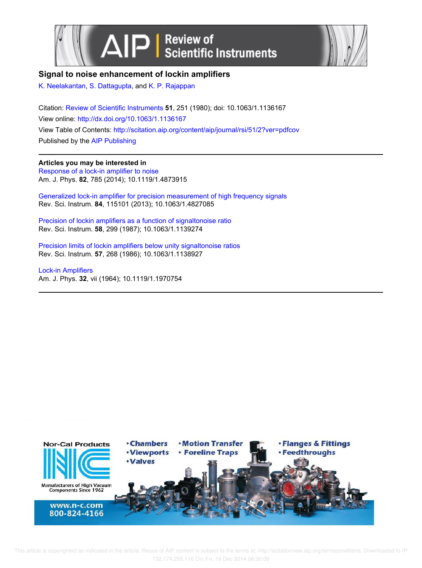



**Signal to noise enhancement of lockin amplifiers**

K. Neelakantan, S. Dattagupta, and K. P. Rajappan

Citation: Review of Scientific Instruments **51**, 251 (1980); doi: 10.1063/1.1136167 View online: http://dx.doi.org/10.1063/1.1136167 View Table of Contents: http://scitation.aip.org/content/aip/journal/rsi/51/2?ver=pdfcov Published by the AIP Publishing

## **Articles you may be interested in**

Response of a lock-in amplifier to noise Am. J. Phys. **82**, 785 (2014); 10.1119/1.4873915

Generalized lock-in amplifier for precision measurement of high frequency signals Rev. Sci. Instrum. **84**, 115101 (2013); 10.1063/1.4827085

Precision of lockin amplifiers as a function of signaltonoise ratio Rev. Sci. Instrum. **58**, 299 (1987); 10.1063/1.1139274

Precision limits of lockin amplifiers below unity signaltonoise ratios Rev. Sci. Instrum. **57**, 268 (1986); 10.1063/1.1138927

Lock-in Amplifiers Am. J. Phys. **32**, vii (1964); 10.1119/1.1970754

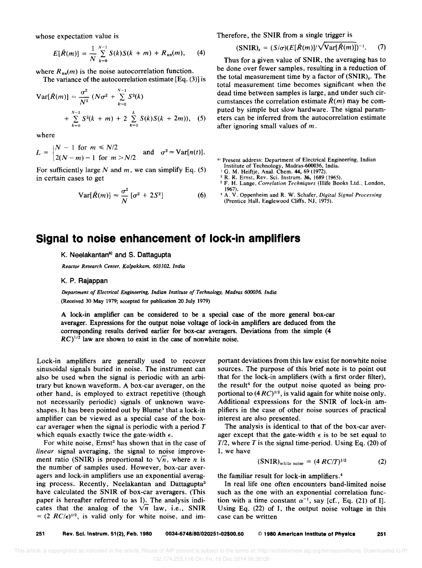whose expectation value is

$$
E[\hat{R}(m)] = \frac{1}{N} \sum_{k=0}^{N-1} S(k)S(k+m) + R_{nn}(m), \qquad (4)
$$

where  $R_{nn}(m)$  is the noise autocorrelation function.

The variance of the autocorrelation estimate  $[Eq. (3)]$  is

$$
Var[\hat{R}(m)] = \frac{\sigma^2}{N^2} (N\sigma^2 + \sum_{k=0}^{N-1} S^2(k)
$$
  
+  $\sum_{k=0}^{N-1} S^2(k+m) + 2 \sum_{k=0}^{L} S(k)S(k+2m)$ ), (5)

where

$$
L = \begin{cases} N-1 \text{ for } m \leq N/2 \\ 2(N-m)-1 \text{ for } m > N/2 \end{cases} \text{ and } \sigma^2 = \text{Var}[n(t)].
$$

For sufficiently large N and  $m$ , we can simplify Eq. (5) in certain cases to get

$$
Var[\hat{R}(m)] \approx \frac{\sigma^2}{N} [\sigma^2 + 2S^2]
$$
 (6)

Therefore, the SNIR from a single trigger is

$$
(SNIR)_s = (S/\sigma)(E[\hat{R}(m)]/\sqrt{\text{Var}[\hat{R}(m)]})^{-1}.
$$
 (7)

Thus for a given value of SNIR, the averaging has to be done over fewer samples, resulting in a reduction of the total measurement time by a factor of  $(SNIR)_{s}$ . The total measurement time becomes significant when the dead time between samples is large, and under such circumstances the correlation estimate  $\hat{R}(m)$  may be computed by simple but slow hardware. The signal parameters can be inferred from the autocorrelation estimate after ignoring small values of  $m$ .

a) Present address: Department of Electrical Engineering, Indian Institute of Technology, Madras-600036, India.

- <sup>1</sup> G. M. Heiftje, Anal. Chem. 44, 69 (1972).
- <sup>2</sup> R. R. Ernst, Rev. Sci. Instrum. 36, 1689 (1965). <sup>3</sup>F. H. Lange, *Correlation Techniques* (Illife Books Ltd., London, 1967).
- <sup>4</sup>A. V. Oppenheim and R. W. Schafer, *Digital Signal Processing*  (Prentice Hall, Englewood Cliffs, NJ, 1975).

## **Signal to noise enhancement of lock-in amplifiers**

K. Neelakantan<sup>a)</sup> and S. Dattagupta

*Reactor Research Center. Kalpakkam. 603102. India* 

## K. P. Rajappan

*Department of Electrical Engineering. Indian Institute of Technology. Madras 600036. India*  (Received 30 May 1979; accepted for publication 20 July 1979)

A lock-in amplifier can be considered to be a special case of the more general box-car averager. Expressions for the output noise voltage of lock-in amplifiers are deduced from the corresponding results derived earlier for box-car averagers. Deviations from the simple (4  $RC$ <sup>1/2</sup> law are shown to exist in the case of nonwhite noise.

Lock-in amplifiers are generally used to recover sinusoidal signals buried in noise. The instrument can also be used when the signal is periodic with an arbitrary but known waveform. A box-car averager, on the other hand, is employed to extract repetitive (though not necessarily periodic) signals of unknown waveshapes. It has been pointed out by Blume<sup>1</sup> that a lock-in amplifier can be viewed as a special case of the boxcar averager when the signal is periodic with a period  $T$ which equals exactly twice the gate-width  $\epsilon$ .

For white noise, Ernst<sup>2</sup> has shown that in the case of *linear* signal averaging, the signal to noise improvement ratio (SNIR) is proportional to  $\sqrt{n}$ , where *n* is the number of samples used. However, box-car averagers and lock-in amplifiers use an exponential averaging process. Recently, Neelakantan and Dattagupta<sup>3</sup> have calculated the SNIR of box-car averagers. (This paper is hereafter referred to as I). The analysis indicates that the analog of the  $\sqrt{n}$  law, i.e., SNIR  $= (2 \ RC/\epsilon)^{1/2}$ , is valid only for white noise, and im-

portant deviations from this law exist for nonwhite noise sources. The purpose of this brief note is to point out that for the lock-in amplifiers (with a first order filter), the result<sup>4</sup> for the output noise quoted as being proportional to  $(4RC)^{1/2}$ , is valid again for white noise only. Additional expressions for the SNIR of lock-in amplifiers in the case of other noise sources of practical interest are also presented.

The analysis is identical to that of the box-car averager except that the gate-width  $\epsilon$  is to be set equal to *T12,* where *T* is the signal time-period. Using Eq. (20) of I, we have

$$
(SNIR)_{\text{white noise}} = (4 \, RC/T)^{1/2} \tag{2}
$$

the familiar result for lock -in amplifiers. <sup>4</sup>

In real life one often encounters band-limited noise such as the one with an exponential correlation function with a time constant  $\alpha^{-1}$ , say [cf., Eq. (21) of I]. Using Eq. (22) of I, the output noise voltage in this case can be written